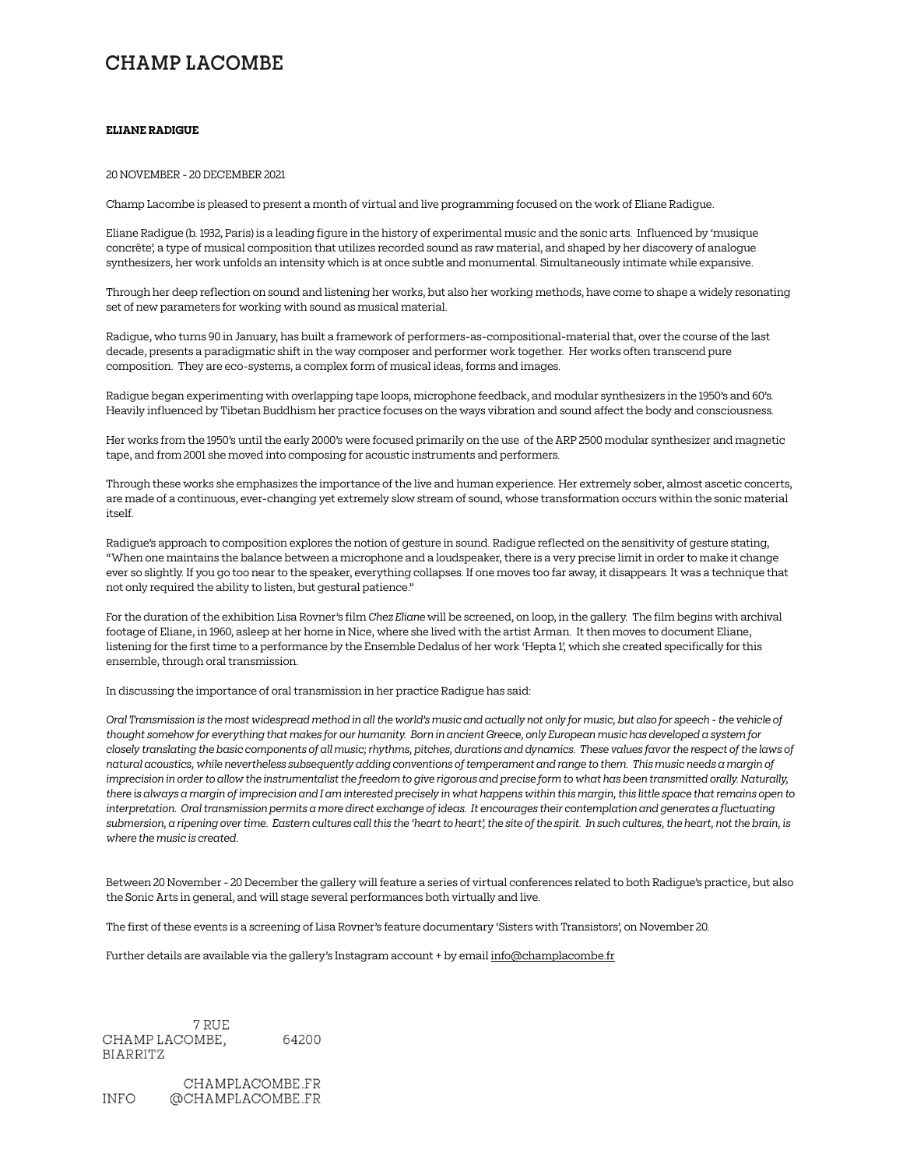## CHAMP LACOMBE

### **ELIANE RADIGUE**

#### 20 NOVEMBER - 20 DECEMBER 2021

Champ Lacombe is pleased to present a month of virtual and live programming focused on the work of Eliane Radigue.

Eliane Radigue (b. 1932, Paris) is a leading figure in the history of experimental music and the sonic arts. Influenced by 'musique concrète', a type of musical composition that utilizes recorded sound as raw material, and shaped by her discovery of analogue synthesizers, her work unfolds an intensity which is at once subtle and monumental. Simultaneously intimate while expansive.

Through her deep reflection on sound and listening her works, but also her working methods, have come to shape a widely resonating set of new parameters for working with sound as musical material.

Radigue, who turns 90 in January, has built a framework of performers-as-compositional-material that, over the course of the last decade, presents a paradigmatic shift in the way composer and performer work together. Her works often transcend pure composition. They are eco-systems, a complex form of musical ideas, forms and images.

Radigue began experimenting with overlapping tape loops, microphone feedback, and modular synthesizers in the 1950's and 60's. Heavily influenced by Tibetan Buddhism her practice focuses on the ways vibration and sound afect the body and consciousness.

Her works from the 1950's until the early 2000's were focused primarily on the use of the ARP 2500 modular synthesizer and magnetic tape, and from 2001 she moved into composing for acoustic instruments and performers.

Through these works she emphasizes the importance of the live and human experience. Her extremely sober, almost ascetic concerts, are made of a continuous, ever-changing yet extremely slow stream of sound, whose transformation occurs within the sonic material itself.

Radigue's approach to composition explores the notion of gesture in sound. Radigue reflected on the sensitivity of gesture stating, "When one maintains the balance between a microphone and a loudspeaker, there is a very precise limit in order to make it change ever so slightly. If you go too near to the speaker, everything collapses. If one moves too far away, it disappears. It was a technique that not only required the ability to listen, but gestural patience."

For the duration of the exhibition Lisa Rovner's film *Chez Eliane* will be screened, on loop, in the gallery. The film begins with archival footage of Eliane, in 1960, asleep at her home in Nice, where she lived with the artist Arman. It then moves to document Eliane, listening for the first time to a performance by the Ensemble Dedalus of her work 'Hepta 1', which she created specifically for this ensemble, through oral transmission.

In discussing the importance of oral transmission in her practice Radigue has said:

*Oral Transmission is the most widespread method in all the world's music and actually not only for music, but also for speech - the vehicle of thought somehow for everything that makes for our humanity. Born in ancient Greece, only European music has developed a system for closely translating the basic components of all music; rhythms, pitches, durations and dynamics. These values favor the respect of the laws of natural acoustics, while nevertheless subsequently adding conventions of temperament and range to them. This music needs a margin of imprecision in order to allow the instrumentalist the freedom to give rigorous and precise form to what has been transmitted orally. Naturally, there is always a margin of imprecision and I am interested precisely in what happens within this margin, this little space that remains open to interpretation. Oral transmission permits a more direct exchange of ideas. It encourages their contemplation and generates a fluctuating submersion, a ripening over time. Eastern cultures call this the 'heart to heart', the site of the spirit. In such cultures, the heart, not the brain, is where the music is created.* 

Between 20 November - 20 December the gallery will feature a series of virtual conferences related to both Radigue's practice, but also the Sonic Arts in general, and will stage several performances both virtually and live.

The first of these events is a screening of Lisa Rovner's feature documentary 'Sisters with Transistors', on November 20.

Further details are available via the gallery's Instagram account + by email [info@champlacombe.fr](mailto:info@champlacombe.fr)

7 RUE CHAMP LACOMBE. 64200 **BIARRITZ** 

CHAMPLACOMBE FR @CHAMPLACOMBE.FR **INFO**